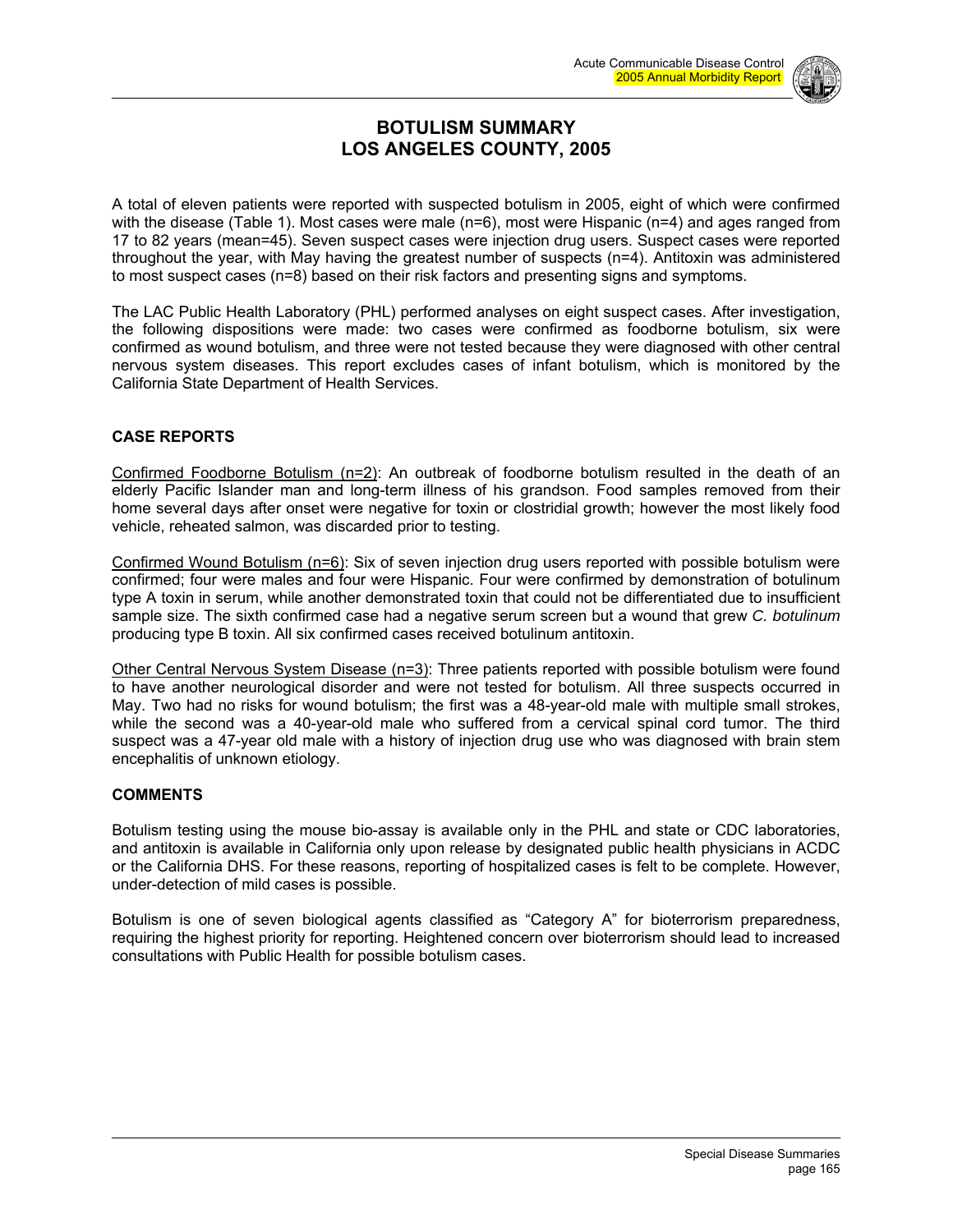

### **BOTULISM SUMMARY LOS ANGELES COUNTY, 2005**

A total of eleven patients were reported with suspected botulism in 2005, eight of which were confirmed with the disease (Table 1). Most cases were male (n=6), most were Hispanic (n=4) and ages ranged from 17 to 82 years (mean=45). Seven suspect cases were injection drug users. Suspect cases were reported throughout the year, with May having the greatest number of suspects (n=4). Antitoxin was administered to most suspect cases (n=8) based on their risk factors and presenting signs and symptoms.

The LAC Public Health Laboratory (PHL) performed analyses on eight suspect cases. After investigation, the following dispositions were made: two cases were confirmed as foodborne botulism, six were confirmed as wound botulism, and three were not tested because they were diagnosed with other central nervous system diseases. This report excludes cases of infant botulism, which is monitored by the California State Department of Health Services.

#### **CASE REPORTS**

Confirmed Foodborne Botulism (n=2): An outbreak of foodborne botulism resulted in the death of an elderly Pacific Islander man and long-term illness of his grandson. Food samples removed from their home several days after onset were negative for toxin or clostridial growth; however the most likely food vehicle, reheated salmon, was discarded prior to testing.

Confirmed Wound Botulism (n=6): Six of seven injection drug users reported with possible botulism were confirmed; four were males and four were Hispanic. Four were confirmed by demonstration of botulinum type A toxin in serum, while another demonstrated toxin that could not be differentiated due to insufficient sample size. The sixth confirmed case had a negative serum screen but a wound that grew *C. botulinum* producing type B toxin. All six confirmed cases received botulinum antitoxin.

Other Central Nervous System Disease (n=3): Three patients reported with possible botulism were found to have another neurological disorder and were not tested for botulism. All three suspects occurred in May. Two had no risks for wound botulism; the first was a 48-year-old male with multiple small strokes, while the second was a 40-year-old male who suffered from a cervical spinal cord tumor. The third suspect was a 47-year old male with a history of injection drug use who was diagnosed with brain stem encephalitis of unknown etiology.

#### **COMMENTS**

Botulism testing using the mouse bio-assay is available only in the PHL and state or CDC laboratories, and antitoxin is available in California only upon release by designated public health physicians in ACDC or the California DHS. For these reasons, reporting of hospitalized cases is felt to be complete. However, under-detection of mild cases is possible.

Botulism is one of seven biological agents classified as "Category A" for bioterrorism preparedness, requiring the highest priority for reporting. Heightened concern over bioterrorism should lead to increased consultations with Public Health for possible botulism cases.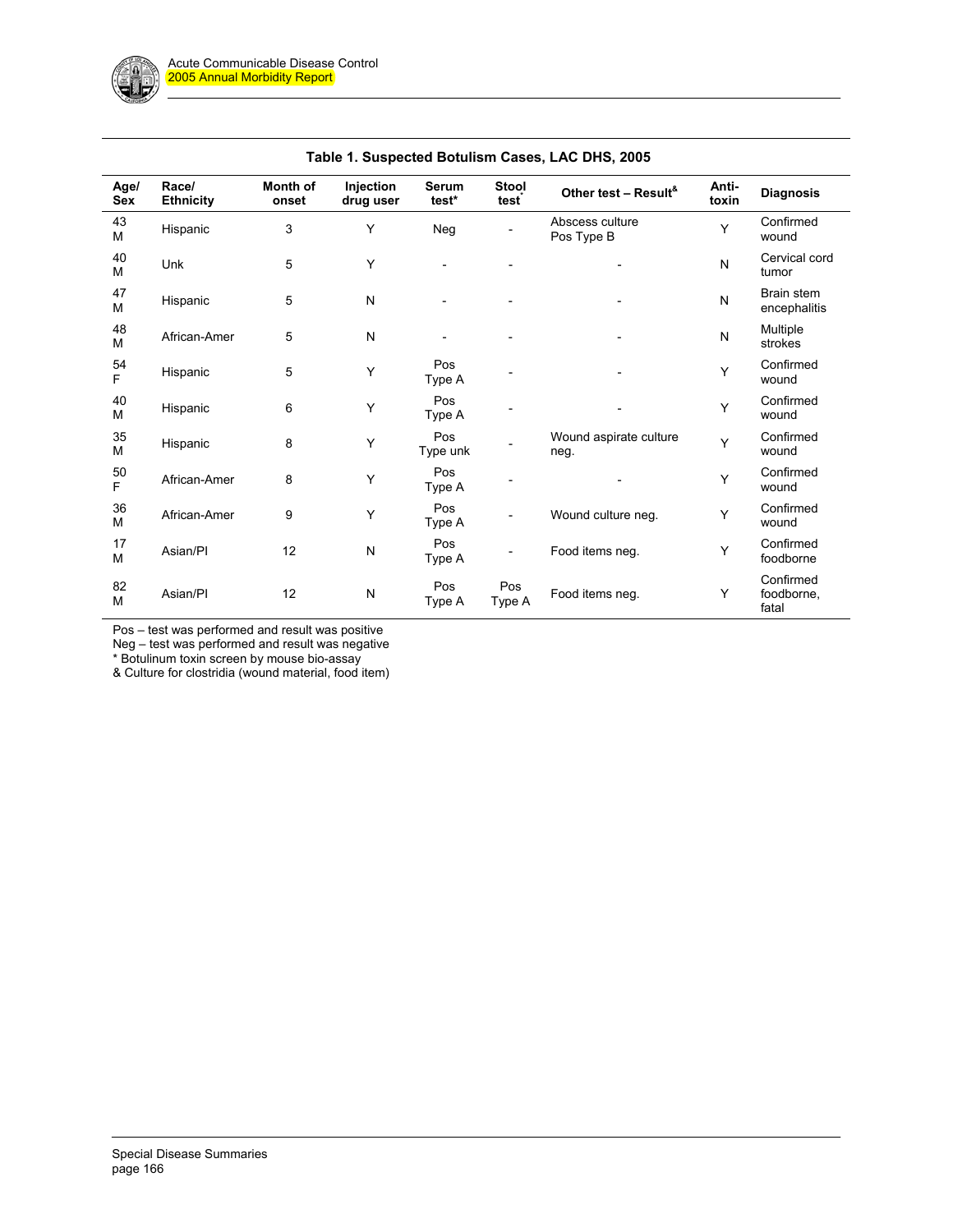| Age/<br>Sex | Race/<br><b>Ethnicity</b> | Month of<br>onset | Injection<br>drug user | Serum<br>test*  | <b>Stool</b><br>test     | Other test - Result <sup>&amp;</sup> | Anti-<br>toxin | <b>Diagnosis</b>                 |
|-------------|---------------------------|-------------------|------------------------|-----------------|--------------------------|--------------------------------------|----------------|----------------------------------|
| 43<br>M     | Hispanic                  | 3                 | Y                      | Neg             |                          | Abscess culture<br>Pos Type B        | Y              | Confirmed<br>wound               |
| 40<br>M     | Unk                       | 5                 | Y                      |                 |                          |                                      | N              | Cervical cord<br>tumor           |
| 47<br>M     | Hispanic                  | 5                 | N                      |                 |                          | $\overline{\phantom{a}}$             | ${\sf N}$      | Brain stem<br>encephalitis       |
| 48<br>M     | African-Amer              | 5                 | N                      |                 |                          | $\overline{\phantom{a}}$             | ${\sf N}$      | Multiple<br>strokes              |
| 54<br>F     | Hispanic                  | 5                 | Υ                      | Pos<br>Type A   |                          |                                      | Y              | Confirmed<br>wound               |
| 40<br>M     | Hispanic                  | 6                 | Υ                      | Pos<br>Type A   |                          |                                      | Y              | Confirmed<br>wound               |
| 35<br>M     | Hispanic                  | 8                 | Υ                      | Pos<br>Type unk |                          | Wound aspirate culture<br>neg.       | Y              | Confirmed<br>wound               |
| 50<br>F     | African-Amer              | 8                 | Υ                      | Pos<br>Type A   |                          |                                      | Y              | Confirmed<br>wound               |
| 36<br>M     | African-Amer              | 9                 | Y                      | Pos<br>Type A   | $\overline{\phantom{a}}$ | Wound culture neg.                   | Y              | Confirmed<br>wound               |
| 17<br>M     | Asian/PI                  | 12                | N                      | Pos<br>Type A   | $\overline{\phantom{a}}$ | Food items neg.                      | Y              | Confirmed<br>foodborne           |
| 82<br>M     | Asian/PI                  | 12                | ${\sf N}$              | Pos<br>Type A   | Pos<br>Type A            | Food items neg.                      | Y              | Confirmed<br>foodborne,<br>fatal |

Pos – test was performed and result was positive

Neg – test was performed and result was negative

\* Botulinum toxin screen by mouse bio-assay

& Culture for clostridia (wound material, food item)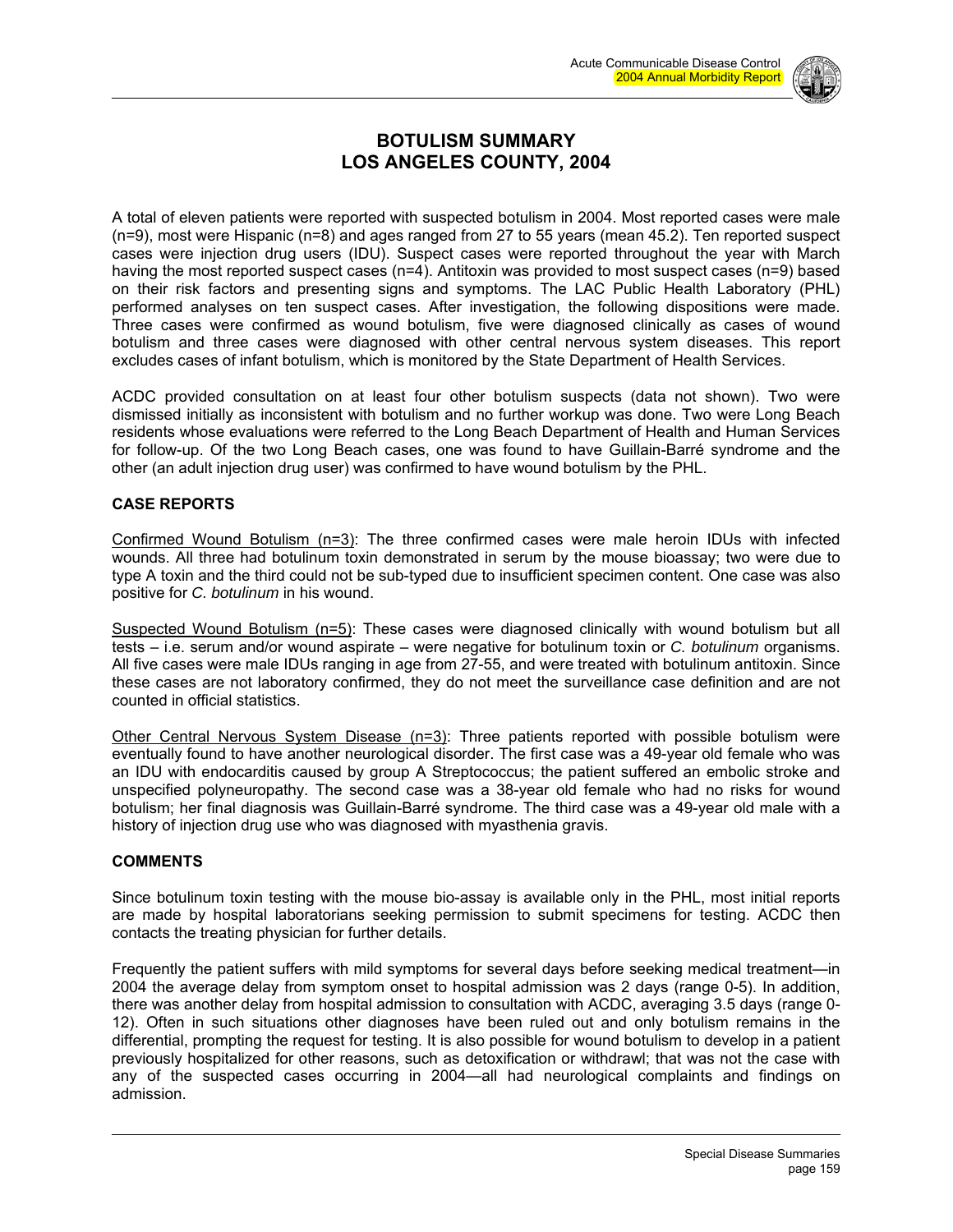

# **BOTULISM SUMMARY LOS ANGELES COUNTY, 2004**

A total of eleven patients were reported with suspected botulism in 2004. Most reported cases were male (n=9), most were Hispanic (n=8) and ages ranged from 27 to 55 years (mean 45.2). Ten reported suspect cases were injection drug users (IDU). Suspect cases were reported throughout the year with March having the most reported suspect cases (n=4). Antitoxin was provided to most suspect cases (n=9) based on their risk factors and presenting signs and symptoms. The LAC Public Health Laboratory (PHL) performed analyses on ten suspect cases. After investigation, the following dispositions were made. Three cases were confirmed as wound botulism, five were diagnosed clinically as cases of wound botulism and three cases were diagnosed with other central nervous system diseases. This report excludes cases of infant botulism, which is monitored by the State Department of Health Services.

ACDC provided consultation on at least four other botulism suspects (data not shown). Two were dismissed initially as inconsistent with botulism and no further workup was done. Two were Long Beach residents whose evaluations were referred to the Long Beach Department of Health and Human Services for follow-up. Of the two Long Beach cases, one was found to have Guillain-Barré syndrome and the other (an adult injection drug user) was confirmed to have wound botulism by the PHL.

#### **CASE REPORTS**

Confirmed Wound Botulism (n=3): The three confirmed cases were male heroin IDUs with infected wounds. All three had botulinum toxin demonstrated in serum by the mouse bioassay; two were due to type A toxin and the third could not be sub-typed due to insufficient specimen content. One case was also positive for *C. botulinum* in his wound.

Suspected Wound Botulism (n=5): These cases were diagnosed clinically with wound botulism but all tests – i.e. serum and/or wound aspirate – were negative for botulinum toxin or *C. botulinum* organisms. All five cases were male IDUs ranging in age from 27-55, and were treated with botulinum antitoxin. Since these cases are not laboratory confirmed, they do not meet the surveillance case definition and are not counted in official statistics.

Other Central Nervous System Disease (n=3): Three patients reported with possible botulism were eventually found to have another neurological disorder. The first case was a 49-year old female who was an IDU with endocarditis caused by group A Streptococcus; the patient suffered an embolic stroke and unspecified polyneuropathy. The second case was a 38-year old female who had no risks for wound botulism; her final diagnosis was Guillain-Barré syndrome. The third case was a 49-year old male with a history of injection drug use who was diagnosed with myasthenia gravis.

#### **COMMENTS**

Since botulinum toxin testing with the mouse bio-assay is available only in the PHL, most initial reports are made by hospital laboratorians seeking permission to submit specimens for testing. ACDC then contacts the treating physician for further details.

Frequently the patient suffers with mild symptoms for several days before seeking medical treatment—in 2004 the average delay from symptom onset to hospital admission was 2 days (range 0-5). In addition, there was another delay from hospital admission to consultation with ACDC, averaging 3.5 days (range 0- 12). Often in such situations other diagnoses have been ruled out and only botulism remains in the differential, prompting the request for testing. It is also possible for wound botulism to develop in a patient previously hospitalized for other reasons, such as detoxification or withdrawl; that was not the case with any of the suspected cases occurring in 2004—all had neurological complaints and findings on admission.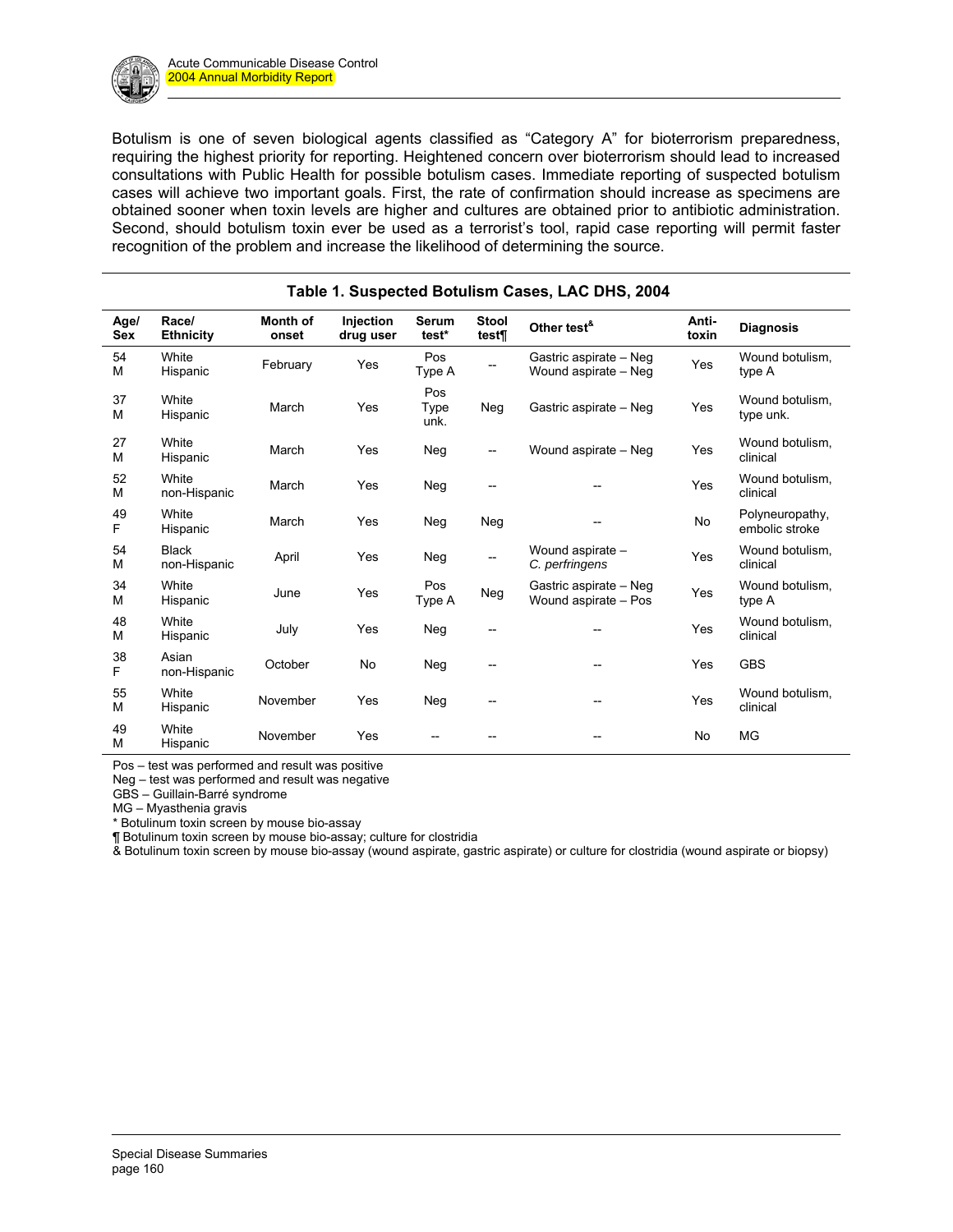Botulism is one of seven biological agents classified as "Category A" for bioterrorism preparedness, requiring the highest priority for reporting. Heightened concern over bioterrorism should lead to increased consultations with Public Health for possible botulism cases. Immediate reporting of suspected botulism cases will achieve two important goals. First, the rate of confirmation should increase as specimens are obtained sooner when toxin levels are higher and cultures are obtained prior to antibiotic administration. Second, should botulism toxin ever be used as a terrorist's tool, rapid case reporting will permit faster recognition of the problem and increase the likelihood of determining the source.

| Age/<br><b>Sex</b> | Race/<br><b>Ethnicity</b>    | <b>Month of</b><br>onset | Injection<br>drug user | <b>Serum</b><br>test* | <b>Stool</b><br>test¶    | Other test <sup>&amp;</sup>                    | Anti-<br>toxin | <b>Diagnosis</b>                  |
|--------------------|------------------------------|--------------------------|------------------------|-----------------------|--------------------------|------------------------------------------------|----------------|-----------------------------------|
| 54<br>M            | White<br>Hispanic            | February                 | Yes                    | Pos<br>Type A         |                          | Gastric aspirate - Neg<br>Wound aspirate - Neg | Yes            | Wound botulism,<br>type A         |
| 37<br>M            | White<br>Hispanic            | March                    | Yes                    | Pos<br>Type<br>unk.   | Neg                      | Gastric aspirate - Neg                         | Yes            | Wound botulism.<br>type unk.      |
| 27<br>M            | White<br>Hispanic            | March                    | Yes                    | Neg                   | $\overline{\phantom{a}}$ | Wound aspirate - Neg                           | Yes            | Wound botulism.<br>clinical       |
| 52<br>M            | White<br>non-Hispanic        | March                    | Yes                    | Neg                   | $\overline{a}$           |                                                | Yes            | Wound botulism,<br>clinical       |
| 49<br>F            | White<br>Hispanic            | March                    | Yes                    | Neg                   | Neg                      |                                                | No             | Polyneuropathy,<br>embolic stroke |
| 54<br>M            | <b>Black</b><br>non-Hispanic | April                    | Yes                    | Neg                   |                          | Wound aspirate -<br>C. perfringens             | Yes            | Wound botulism,<br>clinical       |
| 34<br>M            | White<br>Hispanic            | June                     | Yes                    | Pos<br>Type A         | Neg                      | Gastric aspirate - Neg<br>Wound aspirate - Pos | Yes            | Wound botulism,<br>type A         |
| 48<br>M            | White<br>Hispanic            | July                     | Yes                    | Neg                   |                          |                                                | Yes            | Wound botulism,<br>clinical       |
| 38<br>F            | Asian<br>non-Hispanic        | October                  | No                     | Neg                   | --                       | --                                             | Yes            | <b>GBS</b>                        |
| 55<br>M            | White<br>Hispanic            | November                 | Yes                    | Neg                   | --                       | --                                             | Yes            | Wound botulism,<br>clinical       |
| 49<br>M            | White<br>Hispanic            | November                 | Yes                    |                       |                          |                                                | No             | <b>MG</b>                         |

### **Table 1. Suspected Botulism Cases, LAC DHS, 2004**

Pos – test was performed and result was positive

Neg – test was performed and result was negative

GBS – Guillain-Barré syndrome

MG – Myasthenia gravis

\* Botulinum toxin screen by mouse bio-assay

¶ Botulinum toxin screen by mouse bio-assay; culture for clostridia

& Botulinum toxin screen by mouse bio-assay (wound aspirate, gastric aspirate) or culture for clostridia (wound aspirate or biopsy)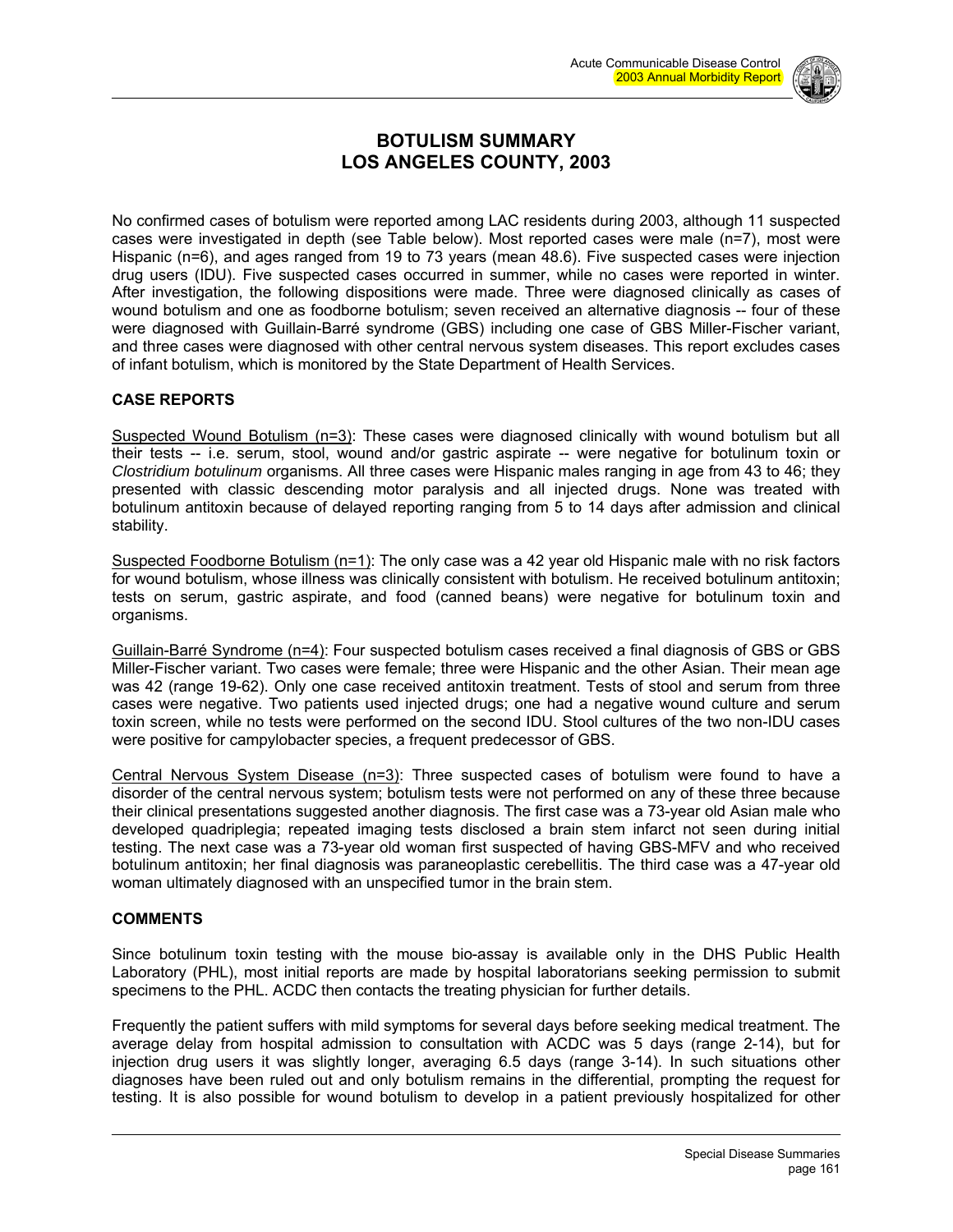

# **BOTULISM SUMMARY LOS ANGELES COUNTY, 2003**

No confirmed cases of botulism were reported among LAC residents during 2003, although 11 suspected cases were investigated in depth (see Table below). Most reported cases were male (n=7), most were Hispanic (n=6), and ages ranged from 19 to 73 years (mean 48.6). Five suspected cases were injection drug users (IDU). Five suspected cases occurred in summer, while no cases were reported in winter. After investigation, the following dispositions were made. Three were diagnosed clinically as cases of wound botulism and one as foodborne botulism; seven received an alternative diagnosis -- four of these were diagnosed with Guillain-Barré syndrome (GBS) including one case of GBS Miller-Fischer variant, and three cases were diagnosed with other central nervous system diseases. This report excludes cases of infant botulism, which is monitored by the State Department of Health Services.

#### **CASE REPORTS**

Suspected Wound Botulism (n=3): These cases were diagnosed clinically with wound botulism but all their tests -- i.e. serum, stool, wound and/or gastric aspirate -- were negative for botulinum toxin or *Clostridium botulinum* organisms. All three cases were Hispanic males ranging in age from 43 to 46; they presented with classic descending motor paralysis and all injected drugs. None was treated with botulinum antitoxin because of delayed reporting ranging from 5 to 14 days after admission and clinical stability.

Suspected Foodborne Botulism (n=1): The only case was a 42 year old Hispanic male with no risk factors for wound botulism, whose illness was clinically consistent with botulism. He received botulinum antitoxin; tests on serum, gastric aspirate, and food (canned beans) were negative for botulinum toxin and organisms.

Guillain-Barré Syndrome (n=4): Four suspected botulism cases received a final diagnosis of GBS or GBS Miller-Fischer variant. Two cases were female; three were Hispanic and the other Asian. Their mean age was 42 (range 19-62). Only one case received antitoxin treatment. Tests of stool and serum from three cases were negative. Two patients used injected drugs; one had a negative wound culture and serum toxin screen, while no tests were performed on the second IDU. Stool cultures of the two non-IDU cases were positive for campylobacter species, a frequent predecessor of GBS.

Central Nervous System Disease (n=3): Three suspected cases of botulism were found to have a disorder of the central nervous system; botulism tests were not performed on any of these three because their clinical presentations suggested another diagnosis. The first case was a 73-year old Asian male who developed quadriplegia; repeated imaging tests disclosed a brain stem infarct not seen during initial testing. The next case was a 73-year old woman first suspected of having GBS-MFV and who received botulinum antitoxin; her final diagnosis was paraneoplastic cerebellitis. The third case was a 47-year old woman ultimately diagnosed with an unspecified tumor in the brain stem.

#### **COMMENTS**

Since botulinum toxin testing with the mouse bio-assay is available only in the DHS Public Health Laboratory (PHL), most initial reports are made by hospital laboratorians seeking permission to submit specimens to the PHL. ACDC then contacts the treating physician for further details.

Frequently the patient suffers with mild symptoms for several days before seeking medical treatment. The average delay from hospital admission to consultation with ACDC was 5 days (range 2-14), but for injection drug users it was slightly longer, averaging 6.5 days (range 3-14). In such situations other diagnoses have been ruled out and only botulism remains in the differential, prompting the request for testing. It is also possible for wound botulism to develop in a patient previously hospitalized for other